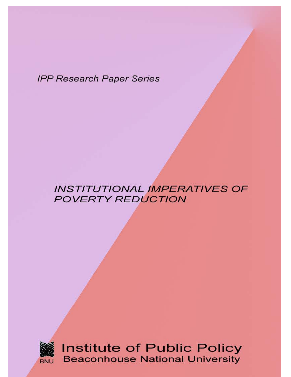**IPP Research Paper Series** 

# **INSTITUTIONAL IMPERATIVES OF POVERTY REDUCTION**



**Institute of Public Policy Beaconhouse National University**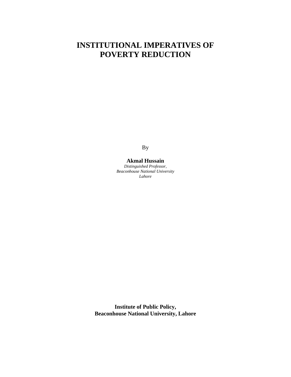# **INSTITUTIONAL IMPERATIVES OF POVERTY REDUCTION**

By

## **Akmal Hussain**

*Distinguished Professor, Beaconhouse National University Lahore*

**Institute of Public Policy, Beaconhouse National University, Lahore**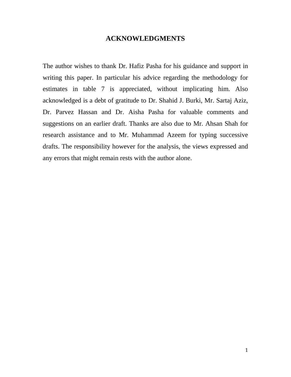# **ACKNOWLEDGMENTS**

The author wishes to thank Dr. Hafiz Pasha for his guidance and support in writing this paper. In particular his advice regarding the methodology for estimates in table 7 is appreciated, without implicating him. Also acknowledged is a debt of gratitude to Dr. Shahid J. Burki, Mr. Sartaj Aziz, Dr. Parvez Hassan and Dr. Aisha Pasha for valuable comments and suggestions on an earlier draft. Thanks are also due to Mr. Ahsan Shah for research assistance and to Mr. Muhammad Azeem for typing successive drafts. The responsibility however for the analysis, the views expressed and any errors that might remain rests with the author alone.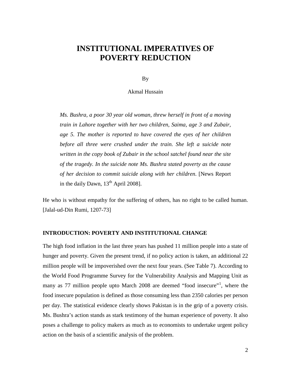# **INSTITUTIONAL IMPERATIVES OF POVERTY REDUCTION**

By

Akmal Hussain

*Ms. Bushra, a poor 30 year old woman, threw herself in front of a moving train in Lahore together with her two children, Saima, age 3 and Zubair, age 5. The mother is reported to have covered the eyes of her children before all three were crushed under the train. She left a suicide note written in the copy book of Zubair in the school satchel found near the site of the tragedy. In the suicide note Ms. Bushra stated poverty as the cause of her decision to commit suicide along with her children*. [News Report in the daily Dawn,  $13<sup>th</sup>$  April 2008].

He who is without empathy for the suffering of others, has no right to be called human. [Jalal-ud-Din Rumi, 1207-73]

## **INTRODUCTION: POVERTY AND INSTITUTIONAL CHANGE**

The high food inflation in the last three years has pushed 11 million people into a state of hunger and poverty. Given the present trend, if no policy action is taken, an additional 22 million people will be impoverished over the next four years. (See Table 7). According to the World Food Programme Survey for the Vulnerability Analysis and Mapping Unit as many as 77 million people upto March 2008 are deemed "food insecure"<sup>[1](#page-34-0)</sup>, where the food insecure population is defined as those consuming less than 2350 calories per person per day. The statistical evidence clearly shows Pakistan is in the grip of a poverty crisis. Ms. Bushra's action stands as stark testimony of the human experience of poverty. It also poses a challenge to policy makers as much as to economists to undertake urgent policy action on the basis of a scientific analysis of the problem.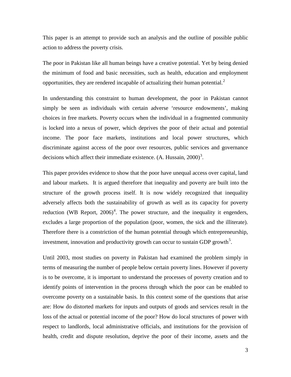This paper is an attempt to provide such an analysis and the outline of possible public action to address the poverty crisis.

The poor in Pakistan like all human beings have a creative potential. Yet by being denied the minimum of food and basic necessities, such as health, education and employment opportunities, they are rendered incapable of actualizing their human potential.<sup>[2](#page-34-1)</sup>

In understanding this constraint to human development, the poor in Pakistan cannot simply be seen as individuals with certain adverse 'resource endowments', making choices in free markets. Poverty occurs when the individual in a fragmented community is locked into a nexus of power, which deprives the poor of their actual and potential income. The poor face markets, institutions and local power structures, which discriminate against access of the poor over resources, public services and governance decisions which affect their immediate existence.  $(A. Hussain, 2000)^3$  $(A. Hussain, 2000)^3$ .

This paper provides evidence to show that the poor have unequal access over capital, land and labour markets. It is argued therefore that inequality and poverty are built into the structure of the growth process itself. It is now widely recognized that inequality adversely affects both the sustainability of growth as well as its capacity for poverty reduction (WB Report,  $2006$ <sup>[4](#page-34-3)</sup>. The power structure, and the inequality it engenders, excludes a large proportion of the population (poor, women, the sick and the illiterate). Therefore there is a constriction of the human potential through which entrepreneurship, investment, innovation and productivity growth can occur to sustain GDP growth<sup>[5](#page-34-4)</sup>.

Until 2003, most studies on poverty in Pakistan had examined the problem simply in terms of measuring the number of people below certain poverty lines. However if poverty is to be overcome, it is important to understand the processes of poverty creation and to identify points of intervention in the process through which the poor can be enabled to overcome poverty on a sustainable basis. In this context some of the questions that arise are: How do distorted markets for inputs and outputs of goods and services result in the loss of the actual or potential income of the poor? How do local structures of power with respect to landlords, local administrative officials, and institutions for the provision of health, credit and dispute resolution, deprive the poor of their income, assets and the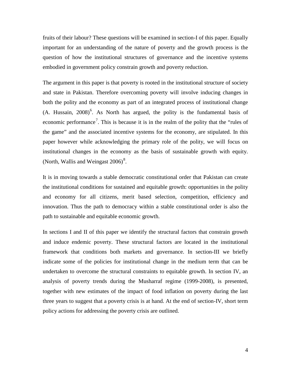fruits of their labour? These questions will be examined in section-I of this paper. Equally important for an understanding of the nature of poverty and the growth process is the question of how the institutional structures of governance and the incentive systems embodied in government policy constrain growth and poverty reduction.

The argument in this paper is that poverty is rooted in the institutional structure of society and state in Pakistan. Therefore overcoming poverty will involve inducing changes in both the polity and the economy as part of an integrated process of institutional change  $(A. Hussain, 2008)<sup>6</sup>$  $(A. Hussain, 2008)<sup>6</sup>$  $(A. Hussain, 2008)<sup>6</sup>$ . As North has argued, the polity is the fundamental basis of economic performance<sup>[7](#page-34-6)</sup>. This is because it is in the realm of the polity that the "rules of the game" and the associated incentive systems for the economy, are stipulated. In this paper however while acknowledging the primary role of the polity, we will focus on institutional changes in the economy as the basis of sustainable growth with equity. (North, Wallis and Weingast  $2006$ )<sup>[8](#page-35-0)</sup>.

It is in moving towards a stable democratic constitutional order that Pakistan can create the institutional conditions for sustained and equitable growth: opportunities in the polity and economy for all citizens, merit based selection, competition, efficiency and innovation. Thus the path to democracy within a stable constitutional order is also the path to sustainable and equitable economic growth.

In sections I and II of this paper we identify the structural factors that constrain growth and induce endemic poverty. These structural factors are located in the institutional framework that conditions both markets and governance. In section-III we briefly indicate some of the policies for institutional change in the medium term that can be undertaken to overcome the structural constraints to equitable growth. In section IV, an analysis of poverty trends during the Musharraf regime (1999-2008), is presented, together with new estimates of the impact of food inflation on poverty during the last three years to suggest that a poverty crisis is at hand. At the end of section-IV, short term policy actions for addressing the poverty crisis are outlined.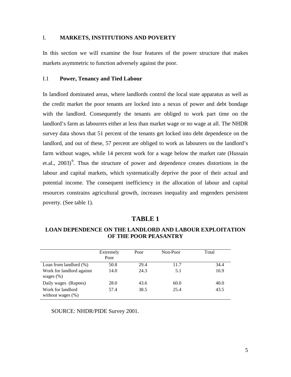#### I. **MARKETS, INSTITUTIONS AND POVERTY**

In this section we will examine the four features of the power structure that makes markets asymmetric to function adversely against the poor.

## I.1 **Power, Tenancy and Tied Labour**

In landlord dominated areas, where landlords control the local state apparatus as well as the credit market the poor tenants are locked into a nexus of power and debt bondage with the landlord. Consequently the tenants are obliged to work part time on the landlord's farm as labourers either at less than market wage or no wage at all. The NHDR survey data shows that 51 percent of the tenants get locked into debt dependence on the landlord, and out of these, 57 percent are obliged to work as labourers on the landlord's farm without wages, while 14 percent work for a wage below the market rate (Hussain et.al.,  $2003$ <sup>[9](#page-36-0)</sup>. Thus the structure of power and dependence creates distortions in the labour and capital markets, which systematically deprive the poor of their actual and potential income. The consequent inefficiency in the allocation of labour and capital resources constrains agricultural growth, increases inequality and engenders persistent poverty. (See table 1).

### **TABLE 1**

## **LOAN DEPENDENCE ON THE LANDLORD AND LABOUR EXPLOITATION OF THE POOR PEASANTRY**

|                                            | Extremely<br>Poor | Poor | Non-Poor | Total |
|--------------------------------------------|-------------------|------|----------|-------|
| Loan from landlord $(\%)$                  | 50.8              | 29.4 | 11.7     | 34.4  |
| Work for landlord against<br>wages $(\% )$ | 14.0              | 24.3 | 5.1      | 16.9  |
| Daily wages (Rupees)                       | 28.0              | 43.6 | 60.0     | 40.0  |
| Work for landlord<br>without wages $(\%)$  | 57.4              | 38.5 | 25.4     | 43.5  |

SOURCE: NHDR/PIDE Survey 2001.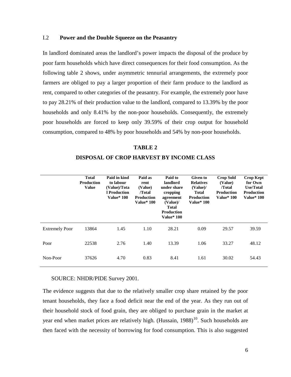## I.2 **Power and the Double Squeeze on the Peasantry**

In landlord dominated areas the landlord's power impacts the disposal of the produce by poor farm households which have direct consequences for their food consumption. As the following table 2 shows, under asymmetric tennurial arrangements, the extremely poor farmers are obliged to pay a larger proportion of their farm produce to the landlord as rent, compared to other categories of the peasantry. For example, the extremely poor have to pay 28.21% of their production value to the landlord, compared to 13.39% by the poor households and only 8.41% by the non-poor households. Consequently, the extremely poor households are forced to keep only 39.59% of their crop output for household consumption, compared to 48% by poor households and 54% by non-poor households.

**TABLE 2 DISPOSAL OF CROP HARVEST BY INCOME CLASS**

|                       | <b>Total</b><br><b>Production</b><br><b>Value</b> | Paid in kind<br>to labour<br>(Value)/Tota<br>l Production<br><b>Value*</b> 100 | Paid as<br>rent<br>(Value)<br>/Total<br><b>Production</b><br><b>Value*</b> 100 | Paid to<br>landlord<br>under share<br>cropping<br>agreement<br>(Value)<br><b>Total</b><br><b>Production</b><br><b>Value* 100</b> | Given to<br><b>Relatives</b><br>(Value)/<br><b>Total</b><br><b>Production</b><br><b>Value*</b> 100 | <b>Crop Sold</b><br>(Value)<br>/Total<br><b>Production</b><br><b>Value*</b> 100 | <b>Crop Kept</b><br>for Own<br><b>Use/Total</b><br><b>Production</b><br><b>Value*</b> 100 |
|-----------------------|---------------------------------------------------|--------------------------------------------------------------------------------|--------------------------------------------------------------------------------|----------------------------------------------------------------------------------------------------------------------------------|----------------------------------------------------------------------------------------------------|---------------------------------------------------------------------------------|-------------------------------------------------------------------------------------------|
| <b>Extremely Poor</b> | 13864                                             | 1.45                                                                           | 1.10                                                                           | 28.21                                                                                                                            | 0.09                                                                                               | 29.57                                                                           | 39.59                                                                                     |
| Poor                  | 22538                                             | 2.76                                                                           | 1.40                                                                           | 13.39                                                                                                                            | 1.06                                                                                               | 33.27                                                                           | 48.12                                                                                     |
| Non-Poor              | 37626                                             | 4.70                                                                           | 0.83                                                                           | 8.41                                                                                                                             | 1.61                                                                                               | 30.02                                                                           | 54.43                                                                                     |

## SOURCE: NHDR/PIDE Survey 2001.

The evidence suggests that due to the relatively smaller crop share retained by the poor tenant households, they face a food deficit near the end of the year. As they run out of their household stock of food grain, they are obliged to purchase grain in the market at year end when market prices are relatively high. (Hussain,  $1988$ )<sup>[10](#page-36-1)</sup>. Such households are then faced with the necessity of borrowing for food consumption. This is also suggested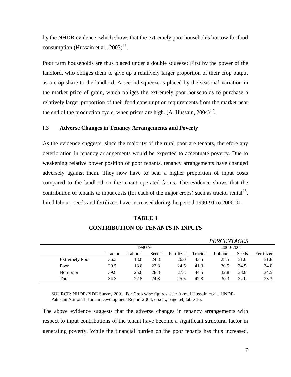by the NHDR evidence, which shows that the extremely poor households borrow for food consumption (Hussain et.al.,  $2003$ )<sup>[11](#page-36-2)</sup>.

Poor farm households are thus placed under a double squeeze: First by the power of the landlord, who obliges them to give up a relatively larger proportion of their crop output as a crop share to the landlord. A second squeeze is placed by the seasonal variation in the market price of grain, which obliges the extremely poor households to purchase a relatively larger proportion of their food consumption requirements from the market near the end of the production cycle, when prices are high.  $(A. Hussain, 2004)^{12}$  $(A. Hussain, 2004)^{12}$  $(A. Hussain, 2004)^{12}$ .

#### I.3 **Adverse Changes in Tenancy Arrangements and Poverty**

As the evidence suggests, since the majority of the rural poor are tenants, therefore any deterioration in tenancy arrangements would be expected to accentuate poverty. Due to weakening relative power position of poor tenants, tenancy arrangements have changed adversely against them. They now have to bear a higher proportion of input costs compared to the landlord on the tenant operated farms. The evidence shows that the contribution of tenants to input costs (for each of the major crops) such as tractor rental<sup>[13](#page-36-4)</sup>, hired labour, seeds and fertilizers have increased during the period 1990-91 to 2000-01.

## **TABLE 3**

|                       |         |         |       |            |           | <b>PERCENTAGES</b> |       |            |
|-----------------------|---------|---------|-------|------------|-----------|--------------------|-------|------------|
|                       |         | 1990-91 |       |            | 2000-2001 |                    |       |            |
|                       | Tractor | ∟abour  | Seeds | Fertilizer | Tractor   | Labour             | Seeds | Fertilizer |
| <b>Extremely Poor</b> | 36.3    | 13.8    | 24.8  | 26.0       | 43.5      | 28.5               | 31.0  | 31.8       |
| Poor                  | 29.5    | 18.8    | 22.8  | 24.5       | 41.3      | 30.5               | 34.5  | 34.0       |
| Non-poor              | 39.8    | 25.8    | 28.8  | 27.3       | 44.5      | 32.8               | 38.8  | 34.5       |
| Total                 | 34.3    | 22.5    | 24.8  | 25.5       | 42.8      | 30.3               | 34.0  | 33.3       |

# **CONTRIBUTION OF TENANTS IN INPUTS**

SOURCE: NHDR/PIDE Survey 2001. For Crop wise figures, see: Akmal Hussain et.al., UNDP-Pakistan National Human Development Report 2003, op.cit., page 64, table 16.

The above evidence suggests that the adverse changes in tenancy arrangements with respect to input contributions of the tenant have become a significant structural factor in generating poverty. While the financial burden on the poor tenants has thus increased,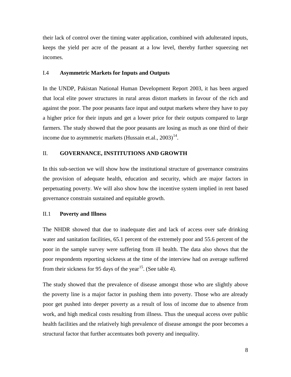their lack of control over the timing water application, combined with adulterated inputs, keeps the yield per acre of the peasant at a low level, thereby further squeezing net incomes.

### I.4 **Asymmetric Markets for Inputs and Outputs**

In the UNDP, Pakistan National Human Development Report 2003, it has been argued that local elite power structures in rural areas distort markets in favour of the rich and against the poor. The poor peasants face input and output markets where they have to pay a higher price for their inputs and get a lower price for their outputs compared to large farmers. The study showed that the poor peasants are losing as much as one third of their income due to asymmetric markets (Hussain et.al.,  $2003)^{14}$  $2003)^{14}$  $2003)^{14}$ .

## II. **GOVERNANCE, INSTITUTIONS AND GROWTH**

In this sub-section we will show how the institutional structure of governance constrains the provision of adequate health, education and security, which are major factors in perpetuating poverty. We will also show how the incentive system implied in rent based governance constrain sustained and equitable growth.

#### II.1 **Poverty and Illness**

The NHDR showed that due to inadequate diet and lack of access over safe drinking water and sanitation facilities, 65.1 percent of the extremely poor and 55.6 percent of the poor in the sample survey were suffering from ill health. The data also shows that the poor respondents reporting sickness at the time of the interview had on average suffered from their sickness for 95 days of the year<sup>[15](#page-36-6)</sup>. (See table 4).

The study showed that the prevalence of disease amongst those who are slightly above the poverty line is a major factor in pushing them into poverty. Those who are already poor get pushed into deeper poverty as a result of loss of income due to absence from work, and high medical costs resulting from illness. Thus the unequal access over public health facilities and the relatively high prevalence of disease amongst the poor becomes a structural factor that further accentuates both poverty and inequality.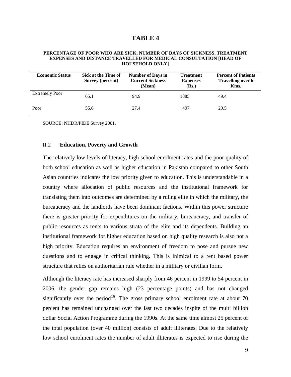#### **TABLE 4**

#### **PERCENTAGE OF POOR WHO ARE SICK, NUMBER OF DAYS OF SICKNESS, TREATMENT EXPENSES AND DISTANCE TRAVELLED FOR MEDICAL CONSULTATION [HEAD OF HOUSEHOLD ONLY]**

| <b>Economic Status</b> | Sick at the Time of<br>Survey (percent) | <b>Number of Days in</b><br><b>Current Sickness</b><br>(Mean) | <b>Treatment</b><br><b>Expenses</b><br>(Rs.) | <b>Percent of Patients</b><br>Travelling over 6<br>Kms. |
|------------------------|-----------------------------------------|---------------------------------------------------------------|----------------------------------------------|---------------------------------------------------------|
| <b>Extremely Poor</b>  | 65.1                                    | 94.9                                                          | 1885                                         | 49.4                                                    |
| Poor                   | 55.6                                    | 27.4                                                          | 497                                          | 29.5                                                    |

SOURCE: NHDR/PIDE Survey 2001.

#### II.2 **Education, Poverty and Growth**

The relatively low levels of literacy, high school enrolment rates and the poor quality of both school education as well as higher education in Pakistan compared to other South Asian countries indicates the low priority given to education. This is understandable in a country where allocation of public resources and the institutional framework for translating them into outcomes are determined by a ruling elite in which the military, the bureaucracy and the landlords have been dominant factions. Within this power structure there is greater priority for expenditures on the military, bureaucracy, and transfer of public resources as rents to various strata of the elite and its dependents. Building an institutional framework for higher education based on high quality research is also not a high priority. Education requires an environment of freedom to pose and pursue new questions and to engage in critical thinking. This is inimical to a rent based power structure that relies on authoritarian rule whether in a military or civilian form.

Although the literacy rate has increased sharply from 46 percent in 1999 to 54 percent in 2006, the gender gap remains high (23 percentage points) and has not changed significantly over the period<sup>[16](#page-36-7)</sup>. The gross primary school enrolment rate at about 70 percent has remained unchanged over the last two decades inspite of the multi billion dollar Social Action Programme during the 1990s. At the same time almost 25 percent of the total population (over 40 million) consists of adult illiterates. Due to the relatively low school enrolment rates the number of adult illiterates is expected to rise during the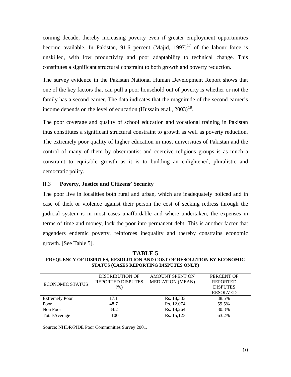coming decade, thereby increasing poverty even if greater employment opportunities become available. In Pakistan, 91.6 percent (Majid, 1997) $17$  of the labour force is unskilled, with low productivity and poor adaptability to technical change. This constitutes a significant structural constraint to both growth and poverty reduction.

The survey evidence in the Pakistan National Human Development Report shows that one of the key factors that can pull a poor household out of poverty is whether or not the family has a second earner. The data indicates that the magnitude of the second earner's income depends on the level of education (Hussain et.al., 2003)<sup>[18](#page-36-9)</sup>.

The poor coverage and quality of school education and vocational training in Pakistan thus constitutes a significant structural constraint to growth as well as poverty reduction. The extremely poor quality of higher education in most universities of Pakistan and the control of many of them by obscurantist and coercive religious groups is as much a constraint to equitable growth as it is to building an enlightened, pluralistic and democratic polity.

## II.3 **Poverty, Justice and Citizens' Security**

The poor live in localities both rural and urban, which are inadequately policed and in case of theft or violence against their person the cost of seeking redress through the judicial system is in most cases unaffordable and where undertaken, the expenses in terms of time and money, lock the poor into permanent debt. This is another factor that engenders endemic poverty, reinforces inequality and thereby constrains economic growth. [See Table 5].

**TABLE 5 FREQUENCY OF DISPUTES, RESOLUTION AND COST OF RESOLUTION BY ECONOMIC STATUS (CASES REPORTING DISPUTES ONLY)**

|                        | <b>DISTRIBUTION OF</b>   | <b>AMOUNT SPENT ON</b>  | PERCENT OF      |  |
|------------------------|--------------------------|-------------------------|-----------------|--|
| <b>ECONOMIC STATUS</b> | <b>REPORTED DISPUTES</b> | <b>MEDIATION (MEAN)</b> | <b>REPORTED</b> |  |
|                        | (% )                     |                         | <b>DISPUTES</b> |  |
|                        |                          |                         | <b>RESOLVED</b> |  |
| <b>Extremely Poor</b>  | 17.1                     | Rs. 18,333              | 38.5%           |  |
| Poor                   | 48.7                     | Rs. 12,074              | 59.5%           |  |
| Non Poor               | 34.2                     | Rs. 18,264              | 80.8%           |  |
| Total/Average          | 100                      | Rs. 15,123              | 63.2%           |  |
|                        |                          |                         |                 |  |

Source: NHDR/PIDE Poor Communities Survey 2001.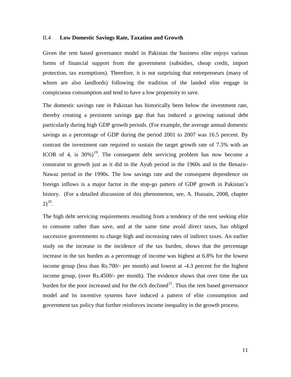#### II.4 **Low Domestic Savings Rate, Taxation and Growth**

Given the rent based governance model in Pakistan the business elite enjoys various forms of financial support from the government (subsidies, cheap credit, import protection, tax exemptions). Therefore, it is not surprising that entrepreneurs (many of whom are also landlords) following the tradition of the landed elite engage in conspicuous consumption and tend to have a low propensity to save.

The domestic savings rate in Pakistan has historically been below the investment rate, thereby creating a persistent savings gap that has induced a growing national debt particularly during high GDP growth periods. (For example, the average annual domestic savings as a percentage of GDP during the period 2001 to 2007 was 16.5 percent. By contrast the investment rate required to sustain the target growth rate of 7.5% with an ICOR of 4, is  $30\%$ <sup>19</sup>. The consequent debt servicing problem has now become a constraint to growth just as it did in the Ayub period in the 1960s and in the Benazir-Nawaz period in the 1990s. The low savings rate and the consequent dependence on foreign inflows is a major factor in the stop-go pattern of GDP growth in Pakistan's history. (For a detailed discussion of this phenomenon, see, A. Hussain, 2008, chapter  $2)^{20}$  $2)^{20}$  $2)^{20}$ .

The high debt servicing requirements resulting from a tendency of the rent seeking elite to consume rather than save, and at the same time avoid direct taxes, has obliged successive governments to charge high and increasing rates of indirect taxes. An earlier study on the increase in the incidence of the tax burden, shows that the percentage increase in the tax burden as a percentage of income was highest at 6.8% for the lowest income group (less than Rs.700/- per month) and lowest at -4.3 percent for the highest income group, (over Rs.4500/- per month). The evidence shows that over time the tax burden for the poor increased and for the rich declined $^{21}$ . Thus the rent based governance model and its incentive systems have induced a pattern of elite consumption and government tax policy that further reinforces income inequality in the growth process.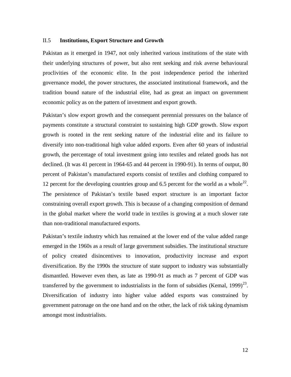#### II.5 **Institutions, Export Structure and Growth**

Pakistan as it emerged in 1947, not only inherited various institutions of the state with their underlying structures of power, but also rent seeking and risk averse behavioural proclivities of the economic elite. In the post independence period the inherited governance model, the power structures, the associated institutional framework, and the tradition bound nature of the industrial elite, had as great an impact on government economic policy as on the pattern of investment and export growth.

Pakistan's slow export growth and the consequent perennial pressures on the balance of payments constitute a structural constraint to sustaining high GDP growth. Slow export growth is rooted in the rent seeking nature of the industrial elite and its failure to diversify into non-traditional high value added exports. Even after 60 years of industrial growth, the percentage of total investment going into textiles and related goods has not declined. (It was 41 percent in 1964-65 and 44 percent in 1990-91). In terms of output, 80 percent of Pakistan's manufactured exports consist of textiles and clothing compared to 12 percent for the developing countries group and 6.5 percent for the world as a whole<sup>[22](#page-36-13)</sup>. The persistence of Pakistan's textile based export structure is an important factor constraining overall export growth. This is because of a changing composition of demand in the global market where the world trade in textiles is growing at a much slower rate than non-traditional manufactured exports.

Pakistan's textile industry which has remained at the lower end of the value added range emerged in the 1960s as a result of large government subsidies. The institutional structure of policy created disincentives to innovation, productivity increase and export diversification. By the 1990s the structure of state support to industry was substantially dismantled. However even then, as late as 1990-91 as much as 7 percent of GDP was transferred by the government to industrialists in the form of subsidies (Kemal, 1999) $^{23}$  $^{23}$  $^{23}$ . Diversification of industry into higher value added exports was constrained by government patronage on the one hand and on the other, the lack of risk taking dynamism amongst most industrialists.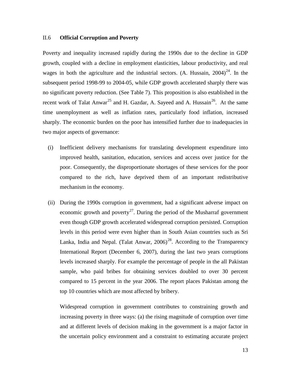#### II.6 **Official Corruption and Poverty**

Poverty and inequality increased rapidly during the 1990s due to the decline in GDP growth, coupled with a decline in employment elasticities, labour productivity, and real wages in both the agriculture and the industrial sectors. (A. Hussain,  $2004<sup>24</sup>$ . In the subsequent period 1998-99 to 2004-05, while GDP growth accelerated sharply there was no significant poverty reduction. (See Table 7). This proposition is also established in the recent work of Talat Anwar<sup>[25](#page-36-16)</sup> and H. Gazdar, A. Sayeed and A. Hussain<sup>[26](#page-37-0)</sup>. At the same time unemployment as well as inflation rates, particularly food inflation, increased sharply. The economic burden on the poor has intensified further due to inadequacies in two major aspects of governance:

- (i) Inefficient delivery mechanisms for translating development expenditure into improved health, sanitation, education, services and access over justice for the poor. Consequently, the disproportionate shortages of these services for the poor compared to the rich, have deprived them of an important redistributive mechanism in the economy.
- (ii) During the 1990s corruption in government, had a significant adverse impact on economic growth and poverty<sup>27</sup>. During the period of the Musharraf government even though GDP growth accelerated widespread corruption persisted. Corruption levels in this period were even higher than in South Asian countries such as Sri Lanka, India and Nepal. (Talat Anwar,  $2006$ )<sup>[28](#page-37-2)</sup>. According to the Transparency International Report (December 6, 2007), during the last two years corruptions levels increased sharply. For example the percentage of people in the all Pakistan sample, who paid bribes for obtaining services doubled to over 30 percent compared to 15 percent in the year 2006. The report places Pakistan among the top 10 countries which are most affected by bribery.

Widespread corruption in government contributes to constraining growth and increasing poverty in three ways: (a) the rising magnitude of corruption over time and at different levels of decision making in the government is a major factor in the uncertain policy environment and a constraint to estimating accurate project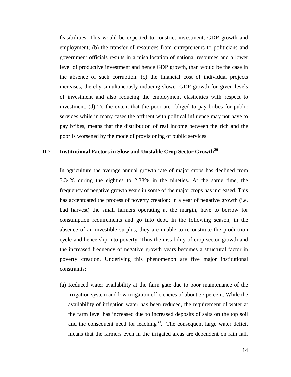feasibilities. This would be expected to constrict investment, GDP growth and employment; (b) the transfer of resources from entrepreneurs to politicians and government officials results in a misallocation of national resources and a lower level of productive investment and hence GDP growth, than would be the case in the absence of such corruption. (c) the financial cost of individual projects increases, thereby simultaneously inducing slower GDP growth for given levels of investment and also reducing the employment elasticities with respect to investment. (d) To the extent that the poor are obliged to pay bribes for public services while in many cases the affluent with political influence may not have to pay bribes, means that the distribution of real income between the rich and the poor is worsened by the mode of provisioning of public services.

## II.7 **Institutional Factors in Slow and Unstable Crop Sector Growth[29](#page-37-3)**

In agriculture the average annual growth rate of major crops has declined from 3.34% during the eighties to 2.38% in the nineties. At the same time, the frequency of negative growth years in some of the major crops has increased. This has accentuated the process of poverty creation: In a year of negative growth (i.e. bad harvest) the small farmers operating at the margin, have to borrow for consumption requirements and go into debt. In the following season, in the absence of an investible surplus, they are unable to reconstitute the production cycle and hence slip into poverty. Thus the instability of crop sector growth and the increased frequency of negative growth years becomes a structural factor in poverty creation. Underlying this phenomenon are five major institutional constraints:

(a) Reduced water availability at the farm gate due to poor maintenance of the irrigation system and low irrigation efficiencies of about 37 percent. While the availability of irrigation water has been reduced, the requirement of water at the farm level has increased due to increased deposits of salts on the top soil and the consequent need for leaching<sup>[30](#page-37-4)</sup>. The consequent large water deficit means that the farmers even in the irrigated areas are dependent on rain fall.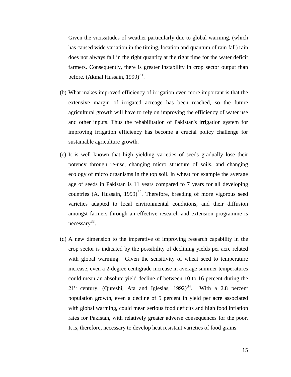Given the vicissitudes of weather particularly due to global warming, (which has caused wide variation in the timing, location and quantum of rain fall) rain does not always fall in the right quantity at the right time for the water deficit farmers. Consequently, there is greater instability in crop sector output than before. (Akmal Hussain, 1999) $^{31}$  $^{31}$  $^{31}$ .

- (b) What makes improved efficiency of irrigation even more important is that the extensive margin of irrigated acreage has been reached, so the future agricultural growth will have to rely on improving the efficiency of water use and other inputs. Thus the rehabilitation of Pakistan's irrigation system for improving irrigation efficiency has become a crucial policy challenge for sustainable agriculture growth.
- (c) It is well known that high yielding varieties of seeds gradually lose their potency through re-use, changing micro structure of soils, and changing ecology of micro organisms in the top soil. In wheat for example the average age of seeds in Pakistan is 11 years compared to 7 years for all developing countries (A. Hussain,  $1999$ )<sup>32</sup>. Therefore, breeding of more vigorous seed varieties adapted to local environmental conditions, and their diffusion amongst farmers through an effective research and extension programme is necessary<sup>[33](#page-37-7)</sup>.
- (d) A new dimension to the imperative of improving research capability in the crop sector is indicated by the possibility of declining yields per acre related with global warming. Given the sensitivity of wheat seed to temperature increase, even a 2-degree centigrade increase in average summer temperatures could mean an absolute yield decline of between 10 to 16 percent during the  $21<sup>st</sup>$  century. (Qureshi, Ata and Iglesias, 1992)<sup>34</sup>. With a 2.8 percent population growth, even a decline of 5 percent in yield per acre associated with global warming, could mean serious food deficits and high food inflation rates for Pakistan, with relatively greater adverse consequences for the poor. It is, therefore, necessary to develop heat resistant varieties of food grains.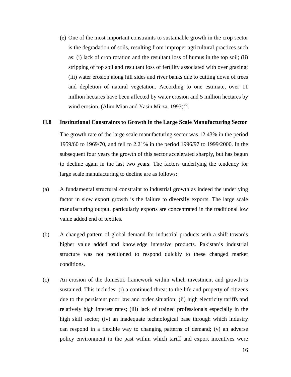(e) One of the most important constraints to sustainable growth in the crop sector is the degradation of soils, resulting from improper agricultural practices such as: (i) lack of crop rotation and the resultant loss of humus in the top soil; (ii) stripping of top soil and resultant loss of fertility associated with over grazing; (iii) water erosion along hill sides and river banks due to cutting down of trees and depletion of natural vegetation. According to one estimate, over 11 million hectares have been affected by water erosion and 5 million hectares by wind erosion. (Alim Mian and Yasin Mirza,  $1993$ )<sup>[35](#page-37-9)</sup>.

#### **II.8 Institutional Constraints to Growth in the Large Scale Manufacturing Sector**

The growth rate of the large scale manufacturing sector was 12.43% in the period 1959/60 to 1969/70, and fell to 2.21% in the period 1996/97 to 1999/2000. In the subsequent four years the growth of this sector accelerated sharply, but has begun to decline again in the last two years. The factors underlying the tendency for large scale manufacturing to decline are as follows:

- (a) A fundamental structural constraint to industrial growth as indeed the underlying factor in slow export growth is the failure to diversify exports. The large scale manufacturing output, particularly exports are concentrated in the traditional low value added end of textiles.
- (b) A changed pattern of global demand for industrial products with a shift towards higher value added and knowledge intensive products. Pakistan's industrial structure was not positioned to respond quickly to these changed market conditions.
- (c) An erosion of the domestic framework within which investment and growth is sustained. This includes: (i) a continued threat to the life and property of citizens due to the persistent poor law and order situation; (ii) high electricity tariffs and relatively high interest rates; (iii) lack of trained professionals especially in the high skill sector; (iv) an inadequate technological base through which industry can respond in a flexible way to changing patterns of demand; (v) an adverse policy environment in the past within which tariff and export incentives were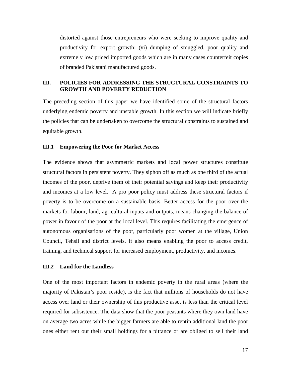distorted against those entrepreneurs who were seeking to improve quality and productivity for export growth; (vi) dumping of smuggled, poor quality and extremely low priced imported goods which are in many cases counterfeit copies of branded Pakistani manufactured goods.

## **III. POLICIES FOR ADDRESSING THE STRUCTURAL CONSTRAINTS TO GROWTH AND POVERTY REDUCTION**

The preceding section of this paper we have identified some of the structural factors underlying endemic poverty and unstable growth. In this section we will indicate briefly the policies that can be undertaken to overcome the structural constraints to sustained and equitable growth.

## **III.1 Empowering the Poor for Market Access**

The evidence shows that asymmetric markets and local power structures constitute structural factors in persistent poverty. They siphon off as much as one third of the actual incomes of the poor, deprive them of their potential savings and keep their productivity and incomes at a low level. A pro poor policy must address these structural factors if poverty is to be overcome on a sustainable basis. Better access for the poor over the markets for labour, land, agricultural inputs and outputs, means changing the balance of power in favour of the poor at the local level. This requires facilitating the emergence of autonomous organisations of the poor, particularly poor women at the village, Union Council, Tehsil and district levels. It also means enabling the poor to access credit, training, and technical support for increased employment, productivity, and incomes.

#### **III.2 Land for the Landless**

One of the most important factors in endemic poverty in the rural areas (where the majority of Pakistan's poor reside), is the fact that millions of households do not have access over land or their ownership of this productive asset is less than the critical level required for subsistence. The data show that the poor peasants where they own land have on average two acres while the bigger farmers are able to rentin additional land the poor ones either rent out their small holdings for a pittance or are obliged to sell their land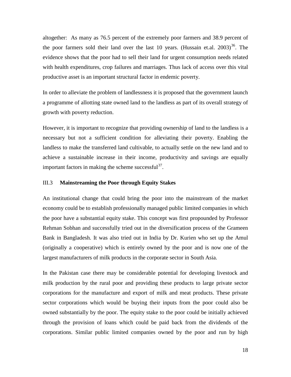altogether: As many as 76.5 percent of the extremely poor farmers and 38.9 percent of the poor farmers sold their land over the last 10 years. (Hussain et.al.  $2003$ )<sup>[36](#page-37-10)</sup>. The evidence shows that the poor had to sell their land for urgent consumption needs related with health expenditures, crop failures and marriages. Thus lack of access over this vital productive asset is an important structural factor in endemic poverty.

In order to alleviate the problem of landlessness it is proposed that the government launch a programme of allotting state owned land to the landless as part of its overall strategy of growth with poverty reduction.

However, it is important to recognize that providing ownership of land to the landless is a necessary but not a sufficient condition for alleviating their poverty. Enabling the landless to make the transferred land cultivable, to actually settle on the new land and to achieve a sustainable increase in their income, productivity and savings are equally important factors in making the scheme successful $^{37}$  $^{37}$  $^{37}$ .

#### III.3 **Mainstreaming the Poor through Equity Stakes**

An institutional change that could bring the poor into the mainstream of the market economy could be to establish professionally managed public limited companies in which the poor have a substantial equity stake. This concept was first propounded by Professor Rehman Sobhan and successfully tried out in the diversification process of the Grameen Bank in Bangladesh. It was also tried out in India by Dr. Kurien who set up the Amul (originally a cooperative) which is entirely owned by the poor and is now one of the largest manufacturers of milk products in the corporate sector in South Asia.

In the Pakistan case there may be considerable potential for developing livestock and milk production by the rural poor and providing these products to large private sector corporations for the manufacture and export of milk and meat products. These private sector corporations which would be buying their inputs from the poor could also be owned substantially by the poor. The equity stake to the poor could be initially achieved through the provision of loans which could be paid back from the dividends of the corporations. Similar public limited companies owned by the poor and run by high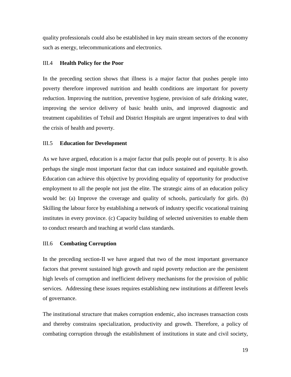quality professionals could also be established in key main stream sectors of the economy such as energy, telecommunications and electronics.

## III.4 **Health Policy for the Poor**

In the preceding section shows that illness is a major factor that pushes people into poverty therefore improved nutrition and health conditions are important for poverty reduction. Improving the nutrition, preventive hygiene, provision of safe drinking water, improving the service delivery of basic health units, and improved diagnostic and treatment capabilities of Tehsil and District Hospitals are urgent imperatives to deal with the crisis of health and poverty.

## III.5 **Education for Development**

As we have argued, education is a major factor that pulls people out of poverty. It is also perhaps the single most important factor that can induce sustained and equitable growth. Education can achieve this objective by providing equality of opportunity for productive employment to all the people not just the elite. The strategic aims of an education policy would be: (a) Improve the coverage and quality of schools, particularly for girls. (b) Skilling the labour force by establishing a network of industry specific vocational training institutes in every province. (c) Capacity building of selected universities to enable them to conduct research and teaching at world class standards.

## III.6 **Combating Corruption**

In the preceding section-II we have argued that two of the most important governance factors that prevent sustained high growth and rapid poverty reduction are the persistent high levels of corruption and inefficient delivery mechanisms for the provision of public services. Addressing these issues requires establishing new institutions at different levels of governance.

The institutional structure that makes corruption endemic, also increases transaction costs and thereby constrains specialization, productivity and growth. Therefore, a policy of combating corruption through the establishment of institutions in state and civil society,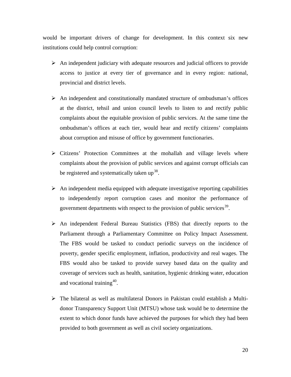would be important drivers of change for development. In this context six new institutions could help control corruption:

- $\triangleright$  An independent judiciary with adequate resources and judicial officers to provide access to justice at every tier of governance and in every region: national, provincial and district levels.
- $\triangleright$  An independent and constitutionally mandated structure of ombudsman's offices at the district, tehsil and union council levels to listen to and rectify public complaints about the equitable provision of public services. At the same time the ombudsman's offices at each tier, would hear and rectify citizens' complaints about corruption and misuse of office by government functionaries.
- $\triangleright$  Citizens' Protection Committees at the mohallah and village levels where complaints about the provision of public services and against corrupt officials can be registered and systematically taken up<sup>[38](#page-37-12)</sup>.
- $\triangleright$  An independent media equipped with adequate investigative reporting capabilities to independently report corruption cases and monitor the performance of government departments with respect to the provision of public services<sup>[39](#page-38-0)</sup>.
- An independent Federal Bureau Statistics (FBS) that directly reports to the Parliament through a Parliamentary Committee on Policy Impact Assessment. The FBS would be tasked to conduct periodic surveys on the incidence of poverty, gender specific employment, inflation, productivity and real wages. The FBS would also be tasked to provide survey based data on the quality and coverage of services such as health, sanitation, hygienic drinking water, education and vocational training<sup>[40](#page-38-1)</sup>.
- The bilateral as well as multilateral Donors in Pakistan could establish a Multidonor Transparency Support Unit (MTSU) whose task would be to determine the extent to which donor funds have achieved the purposes for which they had been provided to both government as well as civil society organizations.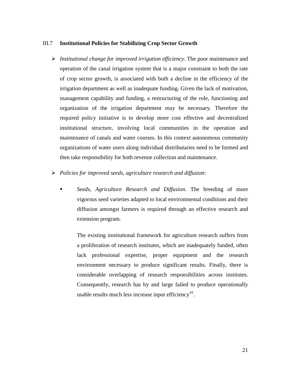#### III.7 **Institutional Policies for Stabilizing Crop Sector Growth**

- *Institutional change for improved irrigation efficiency*. The poor maintenance and operation of the canal irrigation system that is a major constraint to both the rate of crop sector growth, is associated with both a decline in the efficiency of the irrigation department as well as inadequate funding. Given the lack of motivation, management capability and funding, a restructuring of the role, functioning and organization of the irrigation department may be necessary. Therefore the required policy initiative is to develop more cost effective and decentralized institutional structure, involving local communities in the operation and maintenance of canals and water courses. In this context autonomous community organizations of water users along individual distributaries need to be formed and then take responsibility for both revenue collection and maintenance.
- *Policies for improved seeds, agriculture research and diffusion*:
	- *Seeds, Agriculture Research and Diffusion*. The breeding of more vigorous seed varieties adapted to local environmental conditions and their diffusion amongst farmers is required through an effective research and extension program.

The existing institutional framework for agriculture research suffers from a proliferation of research institutes, which are inadequately funded, often lack professional expertise, proper equipment and the research environment necessary to produce significant results. Finally, there is considerable overlapping of research responsibilities across institutes. Consequently, research has by and large failed to produce operationally usable results much less increase input efficiency<sup>[41](#page-38-2)</sup>.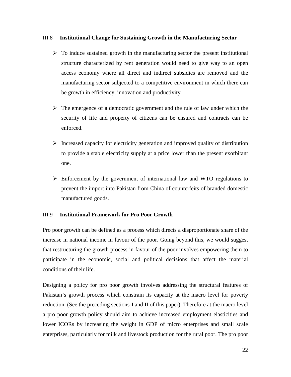## III.8 **Institutional Change for Sustaining Growth in the Manufacturing Sector**

- $\triangleright$  To induce sustained growth in the manufacturing sector the present institutional structure characterized by rent generation would need to give way to an open access economy where all direct and indirect subsidies are removed and the manufacturing sector subjected to a competitive environment in which there can be growth in efficiency, innovation and productivity.
- $\triangleright$  The emergence of a democratic government and the rule of law under which the security of life and property of citizens can be ensured and contracts can be enforced.
- Increased capacity for electricity generation and improved quality of distribution to provide a stable electricity supply at a price lower than the present exorbitant one.
- $\triangleright$  Enforcement by the government of international law and WTO regulations to prevent the import into Pakistan from China of counterfeits of branded domestic manufactured goods.

## III.9 **Institutional Framework for Pro Poor Growth**

Pro poor growth can be defined as a process which directs a disproportionate share of the increase in national income in favour of the poor. Going beyond this, we would suggest that restructuring the growth process in favour of the poor involves empowering them to participate in the economic, social and political decisions that affect the material conditions of their life.

Designing a policy for pro poor growth involves addressing the structural features of Pakistan's growth process which constrain its capacity at the macro level for poverty reduction. (See the preceding sections-I and II of this paper). Therefore at the macro level a pro poor growth policy should aim to achieve increased employment elasticities and lower ICORs by increasing the weight in GDP of micro enterprises and small scale enterprises, particularly for milk and livestock production for the rural poor. The pro poor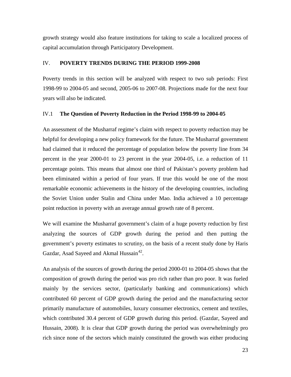growth strategy would also feature institutions for taking to scale a localized process of capital accumulation through Participatory Development.

## IV. **POVERTY TRENDS DURING THE PERIOD 1999-2008**

Poverty trends in this section will be analyzed with respect to two sub periods: First 1998-99 to 2004-05 and second, 2005-06 to 2007-08. Projections made for the next four years will also be indicated.

## IV.1 **The Question of Poverty Reduction in the Period 1998-99 to 2004-05**

An assessment of the Musharraf regime's claim with respect to poverty reduction may be helpful for developing a new policy framework for the future. The Musharraf government had claimed that it reduced the percentage of population below the poverty line from 34 percent in the year 2000-01 to 23 percent in the year 2004-05, i.e. a reduction of 11 percentage points. This means that almost one third of Pakistan's poverty problem had been eliminated within a period of four years. If true this would be one of the most remarkable economic achievements in the history of the developing countries, including the Soviet Union under Stalin and China under Mao. India achieved a 10 percentage point reduction in poverty with an average annual growth rate of 8 percent.

We will examine the Musharraf government's claim of a huge poverty reduction by first analyzing the sources of GDP growth during the period and then putting the government's poverty estimates to scrutiny, on the basis of a recent study done by Haris Gazdar, Asad Sayeed and Akmal Hussain<sup>[42](#page-38-3)</sup>.

An analysis of the sources of growth during the period 2000-01 to 2004-05 shows that the composition of growth during the period was pro rich rather than pro poor. It was fueled mainly by the services sector, (particularly banking and communications) which contributed 60 percent of GDP growth during the period and the manufacturing sector primarily manufacture of automobiles, luxury consumer electronics, cement and textiles, which contributed 30.4 percent of GDP growth during this period. (Gazdar, Sayeed and Hussain, 2008). It is clear that GDP growth during the period was overwhelmingly pro rich since none of the sectors which mainly constituted the growth was either producing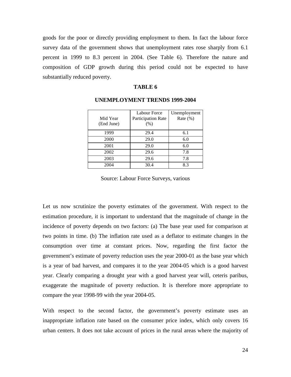goods for the poor or directly providing employment to them. In fact the labour force survey data of the government shows that unemployment rates rose sharply from 6.1 percent in 1999 to 8.3 percent in 2004. (See Table 6). Therefore the nature and composition of GDP growth during this period could not be expected to have substantially reduced poverty.

#### **TABLE 6**

|            | Labour Force       | Unemployment |
|------------|--------------------|--------------|
| Mid Year   | Participation Rate | Rate $(\%)$  |
| (End June) | (% )               |              |
| 1999       | 29.4               | 6.1          |
| 2000       | 29.0               | 6.0          |
| 2001       | 29.0               | 6.0          |
| 2002       | 29.6               | 7.8          |
| 2003       | 29.6               | 7.8          |
| 2004       | 30.4               | 8.3          |

## **UNEMPLOYMENT TRENDS 1999-2004**

Source: Labour Force Surveys, various

Let us now scrutinize the poverty estimates of the government. With respect to the estimation procedure, it is important to understand that the magnitude of change in the incidence of poverty depends on two factors: (a) The base year used for comparison at two points in time. (b) The inflation rate used as a deflator to estimate changes in the consumption over time at constant prices. Now, regarding the first factor the government's estimate of poverty reduction uses the year 2000-01 as the base year which is a year of bad harvest, and compares it to the year 2004-05 which is a good harvest year. Clearly comparing a drought year with a good harvest year will, ceteris paribus, exaggerate the magnitude of poverty reduction. It is therefore more appropriate to compare the year 1998-99 with the year 2004-05.

With respect to the second factor, the government's poverty estimate uses an inappropriate inflation rate based on the consumer price index, which only covers 16 urban centers. It does not take account of prices in the rural areas where the majority of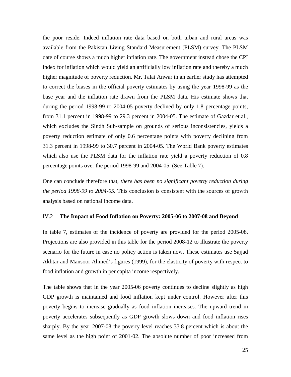the poor reside. Indeed inflation rate data based on both urban and rural areas was available from the Pakistan Living Standard Measurement (PLSM) survey. The PLSM date of course shows a much higher inflation rate. The government instead chose the CPI index for inflation which would yield an artificially low inflation rate and thereby a much higher magnitude of poverty reduction. Mr. Talat Anwar in an earlier study has attempted to correct the biases in the official poverty estimates by using the year 1998-99 as the base year and the inflation rate drawn from the PLSM data. His estimate shows that during the period 1998-99 to 2004-05 poverty declined by only 1.8 percentage points, from 31.1 percent in 1998-99 to 29.3 percent in 2004-05. The estimate of Gazdar et.al., which excludes the Sindh Sub-sample on grounds of serious inconsistencies, yields a poverty reduction estimate of only 0.6 percentage points with poverty declining from 31.3 percent in 1998-99 to 30.7 percent in 2004-05. The World Bank poverty estimates which also use the PLSM data for the inflation rate yield a poverty reduction of 0.8 percentage points over the period 1998-99 and 2004-05. (See Table 7).

One can conclude therefore that, *there has been no significant poverty reduction during the period 1998-99 to 2004-05.* This conclusion is consistent with the sources of growth analysis based on national income data.

#### IV.2 **The Impact of Food Inflation on Poverty: 2005-06 to 2007-08 and Beyond**

In table 7, estimates of the incidence of poverty are provided for the period 2005-08. Projections are also provided in this table for the period 2008-12 to illustrate the poverty scenario for the future in case no policy action is taken now. These estimates use Sajjad Akhtar and Mansoor Ahmed's figures (1999), for the elasticity of poverty with respect to food inflation and growth in per capita income respectively.

The table shows that in the year 2005-06 poverty continues to decline slightly as high GDP growth is maintained and food inflation kept under control. However after this poverty begins to increase gradually as food inflation increases. The upward trend in poverty accelerates subsequently as GDP growth slows down and food inflation rises sharply. By the year 2007-08 the poverty level reaches 33.8 percent which is about the same level as the high point of 2001-02. The absolute number of poor increased from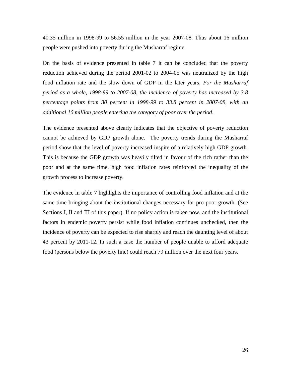40.35 million in 1998-99 to 56.55 million in the year 2007-08. Thus about 16 million people were pushed into poverty during the Musharraf regime.

On the basis of evidence presented in table 7 it can be concluded that the poverty reduction achieved during the period 2001-02 to 2004-05 was neutralized by the high food inflation rate and the slow down of GDP in the later years. *For the Musharraf period as a whole, 1998-99 to 2007-08, the incidence of poverty has increased by 3.8 percentage points from 30 percent in 1998-99 to 33.8 percent in 2007-08, with an additional 16 million people entering the category of poor over the period*.

The evidence presented above clearly indicates that the objective of poverty reduction cannot be achieved by GDP growth alone. The poverty trends during the Musharraf period show that the level of poverty increased inspite of a relatively high GDP growth. This is because the GDP growth was heavily tilted in favour of the rich rather than the poor and at the same time, high food inflation rates reinforced the inequality of the growth process to increase poverty.

The evidence in table 7 highlights the importance of controlling food inflation and at the same time bringing about the institutional changes necessary for pro poor growth. (See Sections I, II and III of this paper). If no policy action is taken now, and the institutional factors in endemic poverty persist while food inflation continues unchecked, then the incidence of poverty can be expected to rise sharply and reach the daunting level of about 43 percent by 2011-12. In such a case the number of people unable to afford adequate food (persons below the poverty line) could reach 79 million over the next four years.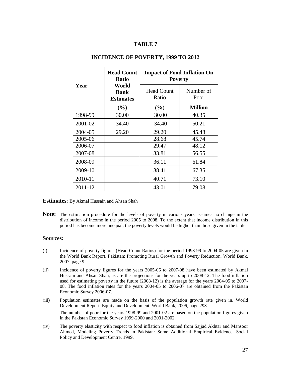## **TABLE 7**

|         | <b>Head Count</b><br><b>Ratio</b>        | <b>Impact of Food Inflation On</b><br><b>Poverty</b> |                   |  |  |
|---------|------------------------------------------|------------------------------------------------------|-------------------|--|--|
| Year    | World<br><b>Bank</b><br><b>Estimates</b> | <b>Head Count</b><br>Ratio                           | Number of<br>Poor |  |  |
|         | $(\%)$                                   | (%)                                                  | <b>Million</b>    |  |  |
| 1998-99 | 30.00                                    | 30.00                                                | 40.35             |  |  |
| 2001-02 | 34.40                                    | 34.40                                                | 50.21             |  |  |
| 2004-05 | 29.20                                    | 29.20                                                | 45.48             |  |  |
| 2005-06 |                                          | 28.68                                                | 45.74             |  |  |
| 2006-07 |                                          | 29.47                                                | 48.12             |  |  |
| 2007-08 |                                          | 33.81                                                | 56.55             |  |  |
| 2008-09 |                                          | 36.11                                                | 61.84             |  |  |
| 2009-10 |                                          | 38.41                                                | 67.35             |  |  |
| 2010-11 |                                          | 40.71                                                | 73.10             |  |  |
| 2011-12 |                                          | 43.01                                                | 79.08             |  |  |

#### **INCIDENCE OF POVERTY, 1999 TO 2012**

**Estimates**: By Akmal Hussain and Ahsan Shah

**Note:** The estimation procedure for the levels of poverty in various years assumes no change in the distribution of income in the period 2005 to 2008. To the extent that income distribution in this period has become more unequal, the poverty levels would be higher than those given in the table.

#### **Sources:**

- (i) Incidence of poverty figures (Head Count Ratios) for the period 1998-99 to 2004-05 are given in the World Bank Report, Pakistan: Promoting Rural Growth and Poverty Reduction, World Bank, 2007, page 9.
- (ii) Incidence of poverty figures for the years 2005-06 to 2007-08 have been estimated by Akmal Hussain and Ahsan Shah, as are the projections for the years up to 2008-12. The food inflation used for estimating poverty in the future (2008-12) is the average for the years 2004-05 to 2007- 08. The food inflation rates for the years 2004-05 to 2006-07 are obtained from the Pakistan Economic Survey 2006-07.
- (iii) Population estimates are made on the basis of the population growth rate given in, World Development Report, Equity and Development, World Bank, 2006, page 293. The number of poor for the years 1998-99 and 2001-02 are based on the population figures given in the Pakistan Economic Survey 1999-2000 and 2001-2002.
- (iv) The poverty elasticity with respect to food inflation is obtained from Sajjad Akhtar and Mansoor Ahmed, Modeling Poverty Trends in Pakistan: Some Additional Empirical Evidence, Social Policy and Development Centre, 1999.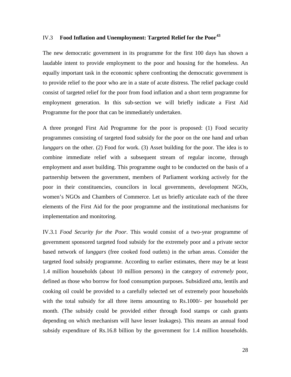## IV.3 **Food Inflation and Unemployment: Targeted Relief for the Poor[43](#page-38-4)**

The new democratic government in its programme for the first 100 days has shown a laudable intent to provide employment to the poor and housing for the homeless. An equally important task in the economic sphere confronting the democratic government is to provide relief to the poor who are in a state of acute distress. The relief package could consist of targeted relief for the poor from food inflation and a short term programme for employment generation. In this sub-section we will briefly indicate a First Aid Programme for the poor that can be immediately undertaken.

A three pronged First Aid Programme for the poor is proposed: (1) Food security programmes consisting of targeted food subsidy for the poor on the one hand and urban *lunggars* on the other. (2) Food for work. (3) Asset building for the poor. The idea is to combine immediate relief with a subsequent stream of regular income, through employment and asset building. This programme ought to be conducted on the basis of a partnership between the government, members of Parliament working actively for the poor in their constituencies, councilors in local governments, development NGOs, women's NGOs and Chambers of Commerce. Let us briefly articulate each of the three elements of the First Aid for the poor programme and the institutional mechanisms for implementation and monitoring.

IV.3.1 *Food Security for the Poor*. This would consist of a two-year programme of government sponsored targeted food subsidy for the extremely poor and a private sector based network of *lunggars* (free cooked food outlets) in the urban areas. Consider the targeted food subsidy programme. According to earlier estimates, there may be at least 1.4 million households (about 10 million persons) in the category of *extremely* poor, defined as those who borrow for food consumption purposes. Subsidized *atta*, lentils and cooking oil could be provided to a carefully selected set of extremely poor households with the total subsidy for all three items amounting to Rs.1000/- per household per month. (The subsidy could be provided either through food stamps or cash grants depending on which mechanism will have lesser leakages). This means an annual food subsidy expenditure of Rs.16.8 billion by the government for 1.4 million households.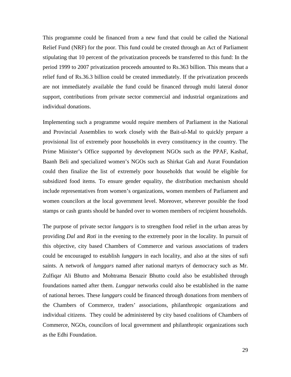This programme could be financed from a new fund that could be called the National Relief Fund (NRF) for the poor. This fund could be created through an Act of Parliament stipulating that 10 percent of the privatization proceeds be transferred to this fund: In the period 1999 to 2007 privatization proceeds amounted to Rs.363 billion. This means that a relief fund of Rs.36.3 billion could be created immediately. If the privatization proceeds are not immediately available the fund could be financed through multi lateral donor support, contributions from private sector commercial and industrial organizations and individual donations.

Implementing such a programme would require members of Parliament in the National and Provincial Assemblies to work closely with the Bait-ul-Mal to quickly prepare a provisional list of extremely poor households in every constituency in the country. The Prime Minister's Office supported by development NGOs such as the PPAF, Kashaf, Baanh Beli and specialized women's NGOs such as Shirkat Gah and Aurat Foundation could then finalize the list of extremely poor households that would be eligible for subsidized food items. To ensure gender equality, the distribution mechanism should include representatives from women's organizations, women members of Parliament and women councilors at the local government level. Moreover, wherever possible the food stamps or cash grants should be handed over to women members of recipient households.

The purpose of private sector *lunggars* is to strengthen food relief in the urban areas by providing *Dal* and *Roti* in the evening to the extremely poor in the locality. In pursuit of this objective, city based Chambers of Commerce and various associations of traders could be encouraged to establish *lunggars* in each locality, and also at the sites of sufi saints. A network of *lunggars* named after national martyrs of democracy such as Mr. Zulfiqar Ali Bhutto and Mohtrama Benazir Bhutto could also be established through foundations named after them. *Lunggar* networks could also be established in the name of national heroes. These *lunggars* could be financed through donations from members of the Chambers of Commerce, traders' associations, philanthropic organizations and individual citizens. They could be administered by city based coalitions of Chambers of Commerce, NGOs, councilors of local government and philanthropic organizations such as the Edhi Foundation.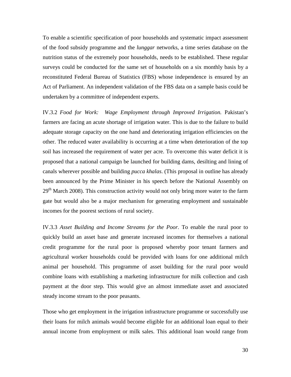To enable a scientific specification of poor households and systematic impact assessment of the food subsidy programme and the *lunggar* networks, a time series database on the nutrition status of the extremely poor households, needs to be established. These regular surveys could be conducted for the same set of households on a six monthly basis by a reconstituted Federal Bureau of Statistics (FBS) whose independence is ensured by an Act of Parliament. An independent validation of the FBS data on a sample basis could be undertaken by a committee of independent experts.

IV.3.2 *Food for Work: Wage Employment through Improved Irrigation.* Pakistan's farmers are facing an acute shortage of irrigation water. This is due to the failure to build adequate storage capacity on the one hand and deteriorating irrigation efficiencies on the other. The reduced water availability is occurring at a time when deterioration of the top soil has increased the requirement of water per acre. To overcome this water deficit it is proposed that a national campaign be launched for building dams, desilting and lining of canals wherever possible and building *pucca khalas*. (This proposal in outline has already been announced by the Prime Minister in his speech before the National Assembly on 29<sup>th</sup> March 2008). This construction activity would not only bring more water to the farm gate but would also be a major mechanism for generating employment and sustainable incomes for the poorest sections of rural society.

IV.3.3 *Asset Building and Income Streams for the Poor.* To enable the rural poor to quickly build an asset base and generate increased incomes for themselves a national credit programme for the rural poor is proposed whereby poor tenant farmers and agricultural worker households could be provided with loans for one additional milch animal per household. This programme of asset building for the rural poor would combine loans with establishing a marketing infrastructure for milk collection and cash payment at the door step. This would give an almost immediate asset and associated steady income stream to the poor peasants.

Those who get employment in the irrigation infrastructure programme or successfully use their loans for milch animals would become eligible for an additional loan equal to their annual income from employment or milk sales. This additional loan would range from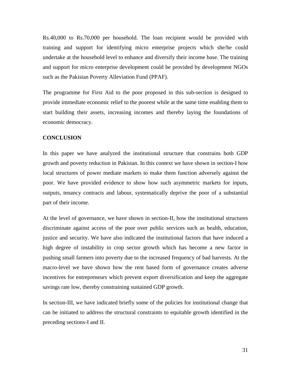Rs.40,000 to Rs.70,000 per household. The loan recipient would be provided with training and support for identifying micro enterprise projects which she/he could undertake at the household level to enhance and diversify their income base. The training and support for micro enterprise development could be provided by development NGOs such as the Pakistan Poverty Alleviation Fund (PPAF).

The programme for First Aid to the poor proposed in this sub-section is designed to provide immediate economic relief to the poorest while at the same time enabling them to start building their assets, increasing incomes and thereby laying the foundations of economic democracy.

### **CONCLUSION**

In this paper we have analyzed the institutional structure that constrains both GDP growth and poverty reduction in Pakistan. In this context we have shown in section-I how local structures of power mediate markets to make them function adversely against the poor. We have provided evidence to show how such asymmetric markets for inputs, outputs, tenancy contracts and labour, systematically deprive the poor of a substantial part of their income.

At the level of governance, we have shown in section-II, how the institutional structures discriminate against access of the poor over public services such as health, education, justice and security. We have also indicated the institutional factors that have induced a high degree of instability in crop sector growth which has become a new factor in pushing small farmers into poverty due to the increased frequency of bad harvests. At the macro-level we have shown how the rent based form of governance creates adverse incentives for entrepreneurs which prevent export diversification and keep the aggregate savings rate low, thereby constraining sustained GDP growth.

In section-III, we have indicated briefly some of the policies for institutional change that can be initiated to address the structural constraints to equitable growth identified in the preceding sections-I and II.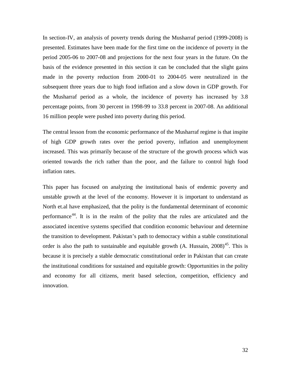In section-IV, an analysis of poverty trends during the Musharraf period (1999-2008) is presented. Estimates have been made for the first time on the incidence of poverty in the period 2005-06 to 2007-08 and projections for the next four years in the future. On the basis of the evidence presented in this section it can be concluded that the slight gains made in the poverty reduction from 2000-01 to 2004-05 were neutralized in the subsequent three years due to high food inflation and a slow down in GDP growth. For the Musharraf period as a whole, the incidence of poverty has increased by 3.8 percentage points, from 30 percent in 1998-99 to 33.8 percent in 2007-08. An additional 16 million people were pushed into poverty during this period.

The central lesson from the economic performance of the Musharraf regime is that inspite of high GDP growth rates over the period poverty, inflation and unemployment increased. This was primarily because of the structure of the growth process which was oriented towards the rich rather than the poor, and the failure to control high food inflation rates.

This paper has focused on analyzing the institutional basis of endemic poverty and unstable growth at the level of the economy. However it is important to understand as North et.al have emphasized, that the polity is the fundamental determinant of economic performance[44](#page-38-5). It is in the realm of the polity that the rules are articulated and the associated incentive systems specified that condition economic behaviour and determine the transition to development. Pakistan's path to democracy within a stable constitutional order is also the path to sustainable and equitable growth (A. Hussain, 2008)<sup>[45](#page-38-6)</sup>. This is because it is precisely a stable democratic constitutional order in Pakistan that can create the institutional conditions for sustained and equitable growth: Opportunities in the polity and economy for all citizens, merit based selection, competition, efficiency and innovation.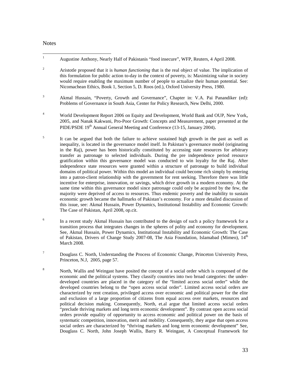#### **Notes**

- <span id="page-34-0"></span><sup>1</sup> Augustine Anthony, Nearly Half of Pakistanis "food insecure", WFP, Reuters, 4 April 2008.
- <span id="page-34-1"></span><sup>2</sup> Aristotle proposed that it is *human functioning* that is the real object of value. The implication of this formulation for public action to-day in the context of poverty, is: Maximizing value in society would require enabling the maximum number of people to actualize their human potential. See: Nicomachean Ethics, Book 1, Section 5, D. Roos (ed.), Oxford University Press, 1980.
- <span id="page-34-2"></span><sup>3</sup> Akmal Hussain, "Poverty, Growth and Governance", Chapter in: V.A. Pai Panandiker (ed): Problems of Governance in South Asia, Center for Policy Research, New Delhi, 2000.
- <span id="page-34-3"></span><sup>4</sup> World Development Report 2006 on Equity and Development, World Bank and OUP, New York, 2005, and Nanak Kakwani, Pro-Poor Growth: Concepts and Measurement, paper presented at the PIDE/PSDE 19<sup>th</sup> Annual General Meeting and Conference (13-15, January 2004).
- <span id="page-34-4"></span><sup>5</sup> It can be argued that both the failure to achieve sustained high growth in the past as well as inequality, is located in the governance model itself. In Pakistan's governance model (originating in the Raj), power has been historically constituted by accessing state resources for arbitrary transfer as patronage to selected individuals. During the pre independence period resource gratification within this governance model was conducted to win loyalty for the Raj. After independence state resources were granted within a structure of patronage to build individual domains of political power. Within this model an individual could become rich simply by entering into a patron-client relationship with the government for rent seeking. Therefore there was little incentive for enterprise, innovation, or savings, which drive growth in a modern economy. At the same time within this governance model since patronage could only be acquired by the few, the majority were deprived of access to resources. Thus endemic poverty and the inability to sustain economic growth became the hallmarks of Pakistan's economy. For a more detailed discussion of this issue, see: Akmal Hussain, Power Dynamics, Institutional Instability and Economic Growth: The Case of Pakistan, April 2008, op.cit.
- <span id="page-34-5"></span><sup>6</sup> In a recent study Akmal Hussain has contributed to the design of such a policy framework for a transition process that integrates changes in the spheres of polity and economy for development. See, Akmal Hussain, Power Dynamics, Institutional Instability and Economic Growth: The Case of Pakistan, Drivers of Change Study 2007-08, The Asia Foundation, Islamabad (Mimeo), 14<sup>th</sup> March 2008.
- <span id="page-34-6"></span> $7$  Douglass C. North, Understanding the Process of Economic Change, Princeton University Press, Princeton, N.J, 2005, page 57.
- <sup>8</sup> North, Wallis and Weingast have posited the concept of a social order which is composed of the economic and the political systems. They classify countries into two broad categories: the underdeveloped countries are placed in the category of the "limited access social order" while the developed countries belong to the "open access social order". Limited access social orders are characterized by rent creation, privileged access over economic and political power for the elite and exclusion of a large proportion of citizens from equal access over markets, resources and political decision making. Consequently, North, et.al argue that limited access social orders "preclude thriving markets and long term economic development". By contrast open access social orders provide equality of opportunity to access economic and political power on the basis of systematic competition, innovation, merit and mobility. Consequently, they argue that open access social orders are characterized by "thriving markets and long term economic development" See, Douglass C. North, John Joseph Wallis, Barry R. Weingast, A Conceptual Framework for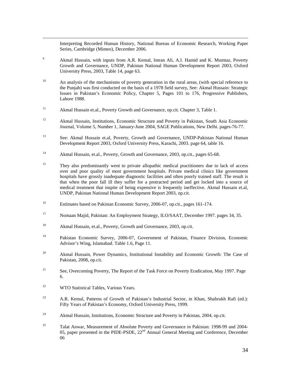Interpreting Recorded Human History, National Bureau of Economic Research, Working Paper Series, Cambridge (Mimeo), December 2006.

- <span id="page-35-0"></span><sup>9</sup> Akmal Hussain, with inputs from A.R. Kemal, Imran Ali, A.I. Hamid and K. Mumtaz, Poverty Growth and Governance, UNDP, Pakistan National Human Development Report 2003, Oxford University Press, 2003, Table 14, page 63.
- <sup>10</sup> An analysis of the mechanisms of poverty generation in the rural areas, (with special reference to the Punjab) was first conducted on the basis of a 1978 field survey, See: Akmal Hussain: Strategic Issues in Pakistan's Economic Policy, Chapter 5, Pages 101 to 176, Progressive Publishers, Lahore 1988.
- <sup>11</sup> Akmal Hussain et.al., Poverty Growth and Governance, op.cit. Chapter 3, Table 1.
- <sup>12</sup> Akmal Hussain, Institutions, Economic Structure and Poverty in Pakistan, South Asia Economic Journal, Volume 5, Number 1, January-June 2004, SAGE Publications, New Delhi. pages-76-77.
- <sup>13</sup> See: Akmal Hussain et.al, Poverty, Growth and Governance, UNDP-Pakistan National Human Development Report 2003, Oxford University Press, Karachi, 2003. page 64, table 16.
- <sup>14</sup> Akmal Hussain, et.al., Poverty, Growth and Governance, 2003, op.cit., pages 65-68.
- <sup>15</sup> They also predominantly went to private allopathic medical practitioners due to lack of access over and poor quality of most government hospitals. Private medical clinics like government hospitals have grossly inadequate diagnostic facilities and often poorly trained staff. The result is that when the poor fall ill they suffer for a protracted period and get locked into a source of medical treatment that inspite of being expensive is frequently ineffective. Akmal Hussain et.al, UNDP, Pakistan National Human Development Report 2003, op.cit.
- <sup>16</sup> Estimates based on Pakistan Economic Survey, 2006-07, op.cit., pages 161-174.
- <sup>17</sup> Nomaan Majid, Pakistan: An Employment Strategy, ILO/SAAT, December 1997. pages 34, 35.
- <sup>18</sup> Akmal Hussain, et.al., Poverty, Growth and Governance, 2003, op.cit.
- <sup>19</sup> Pakistan Economic Survey, 2006-07, Government of Pakistan, Finance Division, Economic Advisor's Wing, Islamabad. Table 1.6, Page 11.
- $20$  Akmal Hussain, Power Dynamics, Institutional Instability and Economic Growth: The Case of Pakistan, 2008, op.cit.
- <sup>21</sup> See, Overcoming Poverty, The Report of the Task Force on Poverty Eradication, May 1997. Page 6.
- <sup>22</sup> WTO Statistical Tables, Various Years.
- $23$  A.R. Kemal, Patterns of Growth of Pakistan's Industrial Sector, in Khan, Shahrukh Rafi (ed.): Fifty Years of Pakistan's Economy, Oxford University Press, 1999.
- $24$  Akmal Hussain, Institutions, Economic Structure and Poverty in Pakistan, 2004, op.cit.
- $25$  Talat Anwar, Measurement of Absolute Poverty and Governance in Pakistan: 1998-99 and 2004-05, paper presented in the PIDE-PSDE,  $22<sup>nd</sup>$  Annual General Meeting and Conference, December 06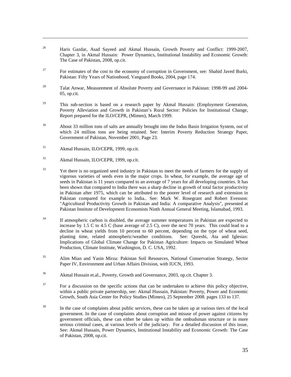- <sup>26</sup> Haris Gazdar, Asad Sayeed and Akmal Hussain, Growth Poverty and Conflict: 1999-2007, Chapter 3, in Akmal Hussain: Power Dynamics, Institutional Instability and Economic Growth: The Case of Pakistan, 2008, op.cit.
- <span id="page-36-0"></span><sup>27</sup> For estimates of the cost to the economy of corruption in Government, see: Shahid Javed Burki, Pakistan: Fifty Years of Nationhood, Vanguard Books, 2004, page 174.
- <span id="page-36-1"></span> $28$  Talat Anwar, Measurement of Absolute Poverty and Governance in Pakistan: 1998-99 and 2004-05, op.cit.
- <span id="page-36-2"></span> $29$  This sub-section is based on a research paper by Akmal Hussain: (Employment Generation, Poverty Alleviation and Growth in Pakistan's Rural Sector: Policies for Institutional Change, Report prepared for the ILO/CEPR, (Mimeo), March 1999.
- <span id="page-36-3"></span><sup>30</sup> About 33 million tons of salts are annually brought into the Indus Basin Irrigation System, out of which 24 million tons are being retained. See: Interim Poverty Reduction Strategy Paper, Government of Pakistan, November 2001, Page 23.
- <span id="page-36-4"></span><sup>31</sup> Akmal Hussain, ILO/CEPR, 1999, op.cit.

- <span id="page-36-5"></span><sup>32</sup> Akmal Hussain, ILO/CEPR, 1999, op.cit.
- <span id="page-36-6"></span><sup>33</sup> Yet there is no organized seed industry in Pakistan to meet the needs of farmers for the supply of vigorous varieties of seeds even in the major crops. In wheat, for example, the average age of seeds in Pakistan is 11 years compared to an average of 7 years for all developing countries. It has been shown that compared to India there was a sharp decline in growth of total factor productivity in Pakistan after 1975, which can be attributed to the poorer level of research and extension in Pakistan compared for example to India.. See: Mark W. Rosegrant and Robert Evenson: "Agricultural Productivity Growth in Pakistan and India: A comparative Analysis", presented at Pakistan Institute of Development Economists Ninth Annual General Meeting, Islamabad, 1993.
- <span id="page-36-10"></span><span id="page-36-9"></span><span id="page-36-8"></span><span id="page-36-7"></span><sup>34</sup> If atmospheric carbon is doubled, the average summer temperatures in Pakistan are expected to increase by 1.5 C to 4.5 C (base average of 2.5 C), over the next 70 years. This could lead to a decline in wheat yields from 10 percent to 60 percent, depending on the type of wheat seed, planting time, related atmospheric/weather conditions. See: Qureshi, Ata and Iglesias: Implications of Global Climate Change for Pakistan Agriculture: Impacts on Simulated Wheat Production, Climate Institute, Washington, D. C. USA, 1992.
- <span id="page-36-11"></span><sup>35</sup> Alim Mian and Yasin Mirza: Pakistan Soil Resources, National Conservation Strategy, Sector Paper IV, Environment and Urban Affairs Division, with IUCN, 1993.
- <span id="page-36-12"></span><sup>36</sup> Akmal Hussain et.al., Poverty, Growth and Governance, 2003, op.cit. Chapter 3.
- <span id="page-36-13"></span> $37$  For a discussion on the specific actions that can be undertaken to achieve this policy objective, within a public private partnership, see: Akmal Hussain, Pakistan: Poverty, Power and Economic Growth, South Asia Center for Policy Studies (Mimeo), 25 September 2008. pages 133 to 137.
- <span id="page-36-16"></span><span id="page-36-15"></span><span id="page-36-14"></span><sup>38</sup> In the case of complaints about public services, these can be taken up at various tiers of the local government. In the case of complaints about corruption and misuse of power against citizens by government officials, these can either be taken up within the ombudsman structure or in more serious criminal cases, at various levels of the judiciary. For a detailed discussion of this issue, See: Akmal Hussain, Power Dynamics, Institutional Instability and Economic Growth: The Case of Pakistan, 2008, op.cit.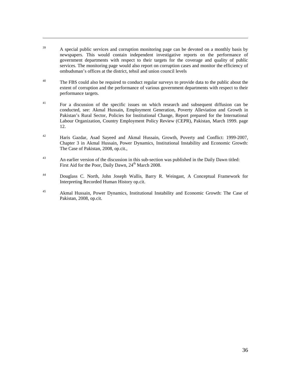<span id="page-37-0"></span> $39$  A special public services and corruption monitoring page can be devoted on a monthly basis by newspapers. This would contain independent investigative reports on the performance of government departments with respect to their targets for the coverage and quality of public services. The monitoring page would also report on corruption cases and monitor the efficiency of ombudsman's offices at the district, tehsil and union council levels

- <span id="page-37-2"></span><span id="page-37-1"></span><sup>40</sup> The FBS could also be required to conduct regular surveys to provide data to the public about the extent of corruption and the performance of various government departments with respect to their performance targets.
- <span id="page-37-3"></span><sup>41</sup> For a discussion of the specific issues on which research and subsequent diffusion can be conducted, see: Akmal Hussain, Employment Generation, Poverty Alleviation and Growth in Pakistan's Rural Sector, Policies for Institutional Change, Report prepared for the International Labour Organization, Country Employment Policy Review (CEPR), Pakistan, March 1999. page 12.
- <span id="page-37-4"></span><sup>42</sup> Haris Gazdar, Asad Sayeed and Akmal Hussain, Growth, Poverty and Conflict: 1999-2007, Chapter 3 in Akmal Hussain, Power Dynamics, Institutional Instability and Economic Growth: The Case of Pakistan, 2008, op.cit.,
- <span id="page-37-6"></span><span id="page-37-5"></span><sup>43</sup> An earlier version of the discussion in this sub-section was published in the Daily Dawn titled: First Aid for the Poor, Daily Dawn, 24<sup>th</sup> March 2008.
- <span id="page-37-7"></span><sup>44</sup> Douglass C. North, John Joseph Wallis, Barry R. Weingast, A Conceptual Framework for Interpreting Recorded Human History op.cit.
- <span id="page-37-12"></span><span id="page-37-11"></span><span id="page-37-10"></span><span id="page-37-9"></span><span id="page-37-8"></span><sup>45</sup> Akmal Hussain, Power Dynamics, Institutional Instability and Economic Growth: The Case of Pakistan, 2008, op.cit.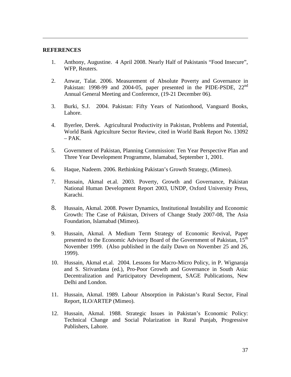#### <span id="page-38-0"></span>**REFERENCES**

- 1. Anthony, Augustine. 4 April 2008. Nearly Half of Pakistanis "Food Insecure", WFP, Reuters.
- <span id="page-38-1"></span>2. Anwar, Talat. 2006. Measurement of Absolute Poverty and Governance in Pakistan: 1998-99 and 2004-05, paper presented in the PIDE-PSDE, 22<sup>nd</sup> Annual General Meeting and Conference, (19-21 December 06).
- <span id="page-38-2"></span>3. Burki, S.J. 2004. Pakistan: Fifty Years of Nationhood, Vanguard Books, Lahore.
- <span id="page-38-3"></span>4. Byerlee, Derek. Agricultural Productivity in Pakistan, Problems and Potential, World Bank Agriculture Sector Review, cited in World Bank Report No. 13092  $-$  PAK.
- <span id="page-38-4"></span>5. Government of Pakistan, Planning Commission: Ten Year Perspective Plan and Three Year Development Programme, Islamabad, September 1, 2001.
- 6. Haque, Nadeem. 2006. Rethinking Pakistan's Growth Strategy, (Mimeo).
- <span id="page-38-6"></span><span id="page-38-5"></span>7. Hussain, Akmal et.al. 2003. Poverty, Growth and Governance, Pakistan National Human Development Report 2003, UNDP, Oxford University Press, Karachi.
- 8. Hussain, Akmal. 2008. Power Dynamics, Institutional Instability and Economic Growth: The Case of Pakistan, Drivers of Change Study 2007-08, The Asia Foundation, Islamabad (Mimeo).
- 9. Hussain, Akmal. A Medium Term Strategy of Economic Revival, Paper presented to the Economic Advisory Board of the Government of Pakistan, 15<sup>th</sup> November 1999. (Also published in the daily Dawn on November 25 and 26, 1999).
- 10. Hussain, Akmal et.al. 2004. Lessons for Macro-Micro Policy, in P. Wignaraja and S. Sirivardana (ed.), Pro-Poor Growth and Governance in South Asia: Decentralization and Participatory Development, SAGE Publications, New Delhi and London.
- 11. Hussain, Akmal. 1989. Labour Absorption in Pakistan's Rural Sector, Final Report, ILO/ARTEP (Mimeo).
- 12. Hussain, Akmal. 1988. Strategic Issues in Pakistan's Economic Policy: Technical Change and Social Polarization in Rural Punjab, Progressive Publishers, Lahore.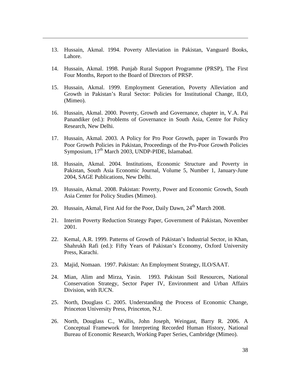13. Hussain, Akmal. 1994. Poverty Alleviation in Pakistan, Vanguard Books, Lahore.

- 14. Hussain, Akmal. 1998. Punjab Rural Support Programme (PRSP), The First Four Months, Report to the Board of Directors of PRSP.
- 15. Hussain, Akmal. 1999. Employment Generation, Poverty Alleviation and Growth in Pakistan's Rural Sector: Policies for Institutional Change, ILO, (Mimeo).
- 16. Hussain, Akmal. 2000. Poverty, Growth and Governance, chapter in, V.A. Pai Panandiker (ed.): Problems of Governance in South Asia, Centre for Policy Research, New Delhi.
- 17. Hussain, Akmal. 2003. A Policy for Pro Poor Growth, paper in Towards Pro Poor Growth Policies in Pakistan, Proceedings of the Pro-Poor Growth Policies Symposium, 17<sup>th</sup> March 2003, UNDP-PIDE, Islamabad.
- 18. Hussain, Akmal. 2004. Institutions, Economic Structure and Poverty in Pakistan, South Asia Economic Journal, Volume 5, Number 1, January-June 2004, SAGE Publications, New Delhi.
- 19. Hussain, Akmal. 2008. Pakistan: Poverty, Power and Economic Growth, South Asia Center for Policy Studies (Mimeo).
- 20. Hussain, Akmal, First Aid for the Poor, Daily Dawn, 24<sup>th</sup> March 2008.
- 21. Interim Poverty Reduction Strategy Paper, Government of Pakistan, November 2001.
- 22. Kemal, A.R. 1999. Patterns of Growth of Pakistan's Industrial Sector, in Khan, Shahrukh Rafi (ed.): Fifty Years of Pakistan's Economy, Oxford University Press, Karachi.
- 23. Majid, Nomaan. 1997. Pakistan: An Employment Strategy, ILO/SAAT.
- 24. Mian, Alim and Mirza, Yasin. 1993. Pakistan Soil Resources, National Conservation Strategy, Sector Paper IV, Environment and Urban Affairs Division, with IUCN.
- 25. North, Douglass C. 2005. Understanding the Process of Economic Change, Princeton University Press, Princeton, N.J.
- 26. North, Douglass C., Wallis, John Joseph, Weingast, Barry R. 2006. A Conceptual Framework for Interpreting Recorded Human History, National Bureau of Economic Research, Working Paper Series, Cambridge (Mimeo).